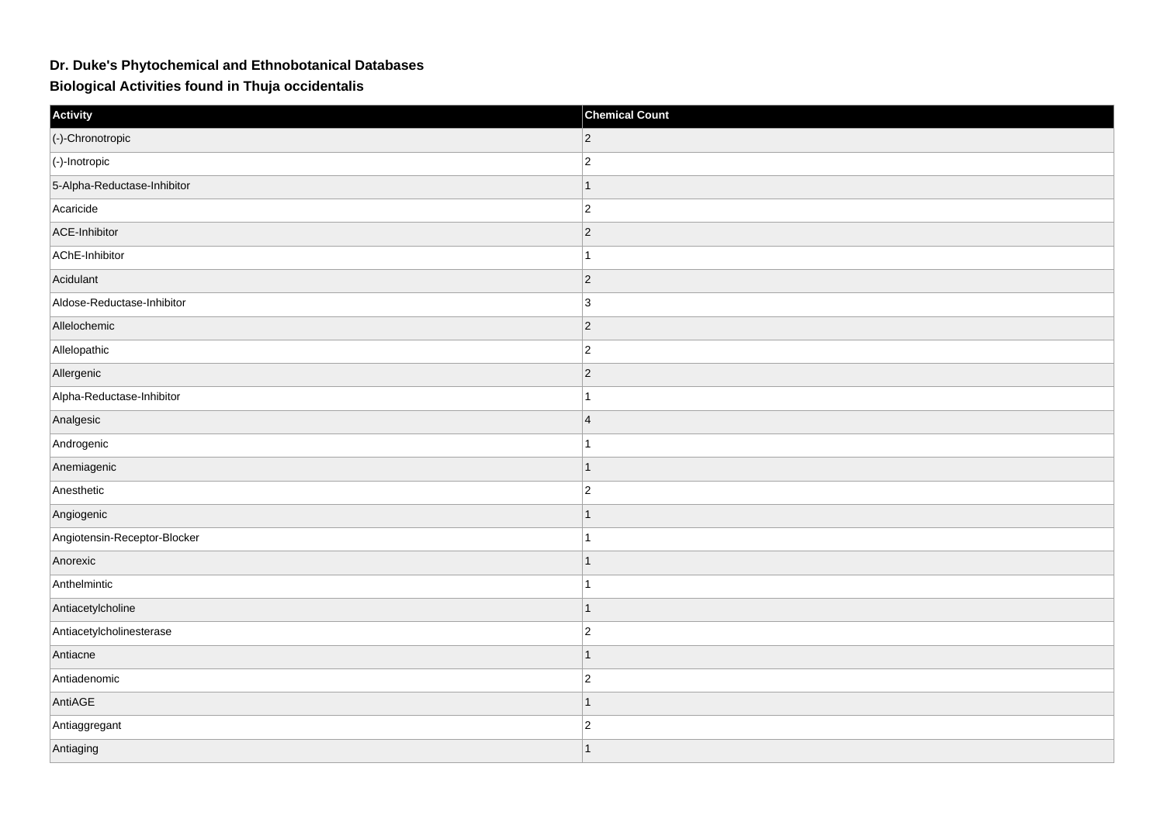## **Dr. Duke's Phytochemical and Ethnobotanical Databases**

**Biological Activities found in Thuja occidentalis**

| Activity                     | <b>Chemical Count</b> |
|------------------------------|-----------------------|
| (-)-Chronotropic             | $ 2\rangle$           |
| $ $ (-)-Inotropic            | $\overline{2}$        |
| 5-Alpha-Reductase-Inhibitor  | $\mathbf{1}$          |
| Acaricide                    | $ 2\rangle$           |
| ACE-Inhibitor                | $\overline{2}$        |
| AChE-Inhibitor               | $\overline{1}$        |
| Acidulant                    | $\vert$ 2             |
| Aldose-Reductase-Inhibitor   | 3                     |
| Allelochemic                 | $ 2\rangle$           |
| Allelopathic                 | $ 2\rangle$           |
| Allergenic                   | $\overline{2}$        |
| Alpha-Reductase-Inhibitor    | 1                     |
| Analgesic                    | $\overline{4}$        |
| Androgenic                   |                       |
| Anemiagenic                  | $\mathbf{1}$          |
| Anesthetic                   | $ 2\rangle$           |
| Angiogenic                   | 1                     |
| Angiotensin-Receptor-Blocker |                       |
| Anorexic                     |                       |
| Anthelmintic                 |                       |
| Antiacetylcholine            | $\mathbf{1}$          |
| Antiacetylcholinesterase     | $ 2\rangle$           |
| Antiacne                     | $\mathbf{1}$          |
| Antiadenomic                 | $\overline{2}$        |
| AntiAGE                      | $\mathbf{1}$          |
| Antiaggregant                | $ 2\rangle$           |
| Antiaging                    | $\overline{1}$        |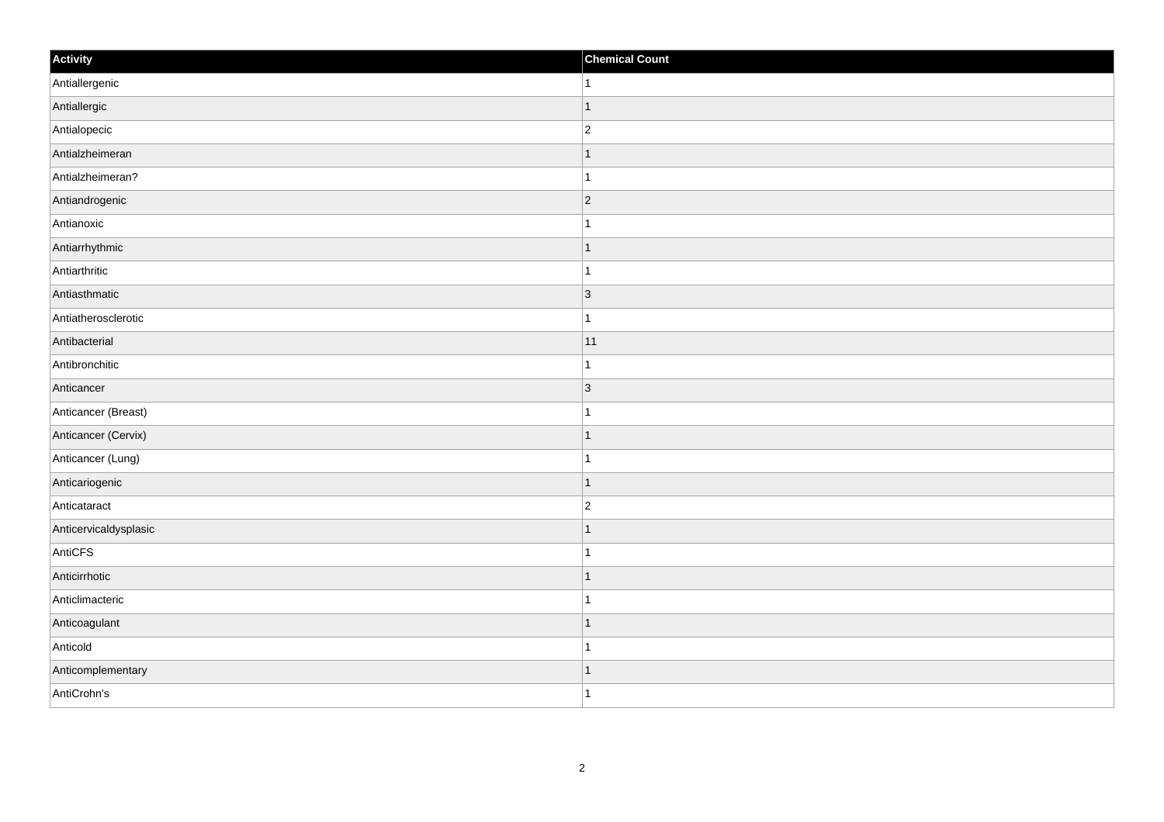| Activity              | <b>Chemical Count</b> |
|-----------------------|-----------------------|
| Antiallergenic        | $\vert$ 1             |
| Antiallergic          | $\mathbf{1}$          |
| Antialopecic          | $\overline{c}$        |
| Antialzheimeran       | $\mathbf 1$           |
| Antialzheimeran?      | $\overline{1}$        |
| Antiandrogenic        | $ 2\rangle$           |
| Antianoxic            | $\mathbf{1}$          |
| Antiarrhythmic        | $\mathbf 1$           |
| Antiarthritic         |                       |
| Antiasthmatic         | 3                     |
| Antiatherosclerotic   | $\mathbf{1}$          |
| Antibacterial         | 11                    |
| Antibronchitic        | $\mathbf{1}$          |
| Anticancer            | 3                     |
| Anticancer (Breast)   |                       |
| Anticancer (Cervix)   | $\vert$ 1             |
| Anticancer (Lung)     | $\mathbf{1}$          |
| Anticariogenic        | $\vert$ 1             |
| Anticataract          | $\overline{2}$        |
| Anticervicaldysplasic | 1                     |
| AntiCFS               | 1                     |
| Anticirrhotic         | $\vert$ 1             |
| Anticlimacteric       | $\mathbf{1}$          |
| Anticoagulant         | $\mathbf 1$           |
| Anticold              | 1                     |
| Anticomplementary     | 1                     |
| AntiCrohn's           | $\overline{1}$        |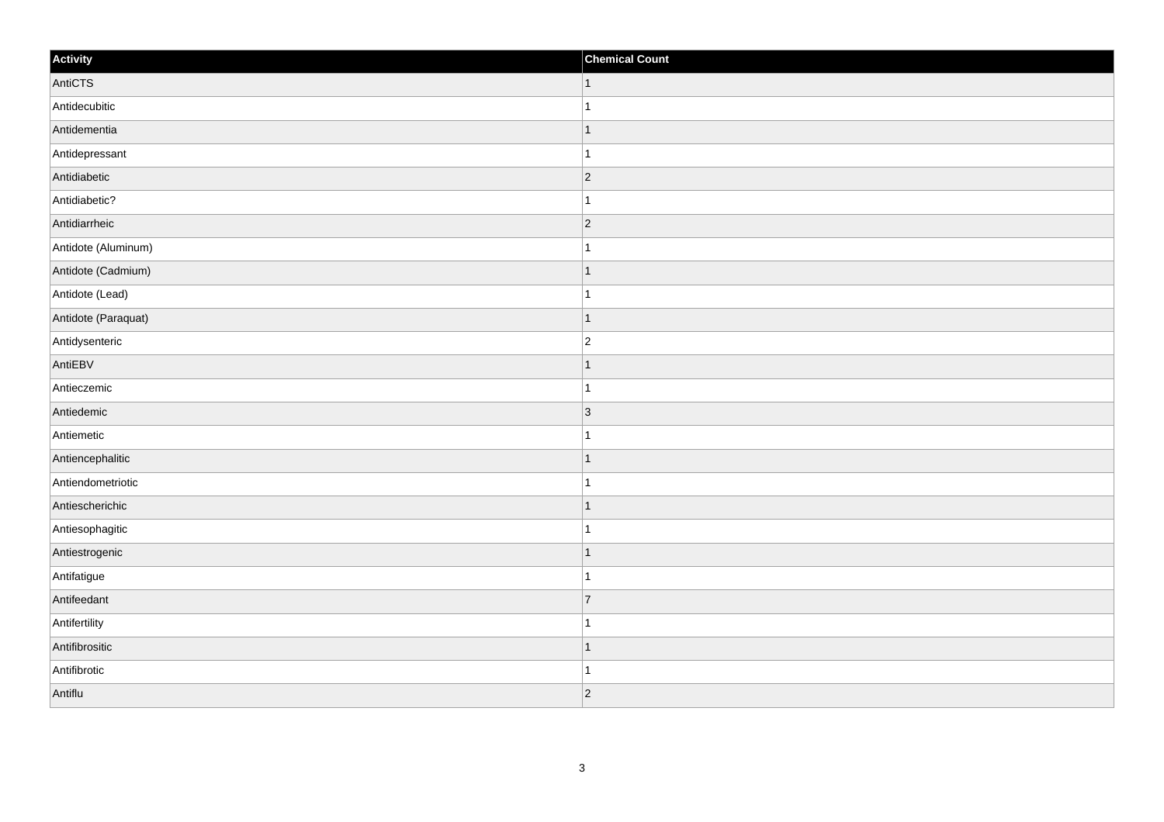| Activity            | <b>Chemical Count</b> |
|---------------------|-----------------------|
| AntiCTS             | $\vert$ 1             |
| Antidecubitic       | $\mathbf{1}$          |
| Antidementia        | $\mathbf 1$           |
| Antidepressant      | $\overline{1}$        |
| Antidiabetic        | $\overline{2}$        |
| Antidiabetic?       |                       |
| Antidiarrheic       | $ 2\rangle$           |
| Antidote (Aluminum) | $\mathbf{1}$          |
| Antidote (Cadmium)  | $\mathbf 1$           |
| Antidote (Lead)     | $\mathbf{1}$          |
| Antidote (Paraquat) | $\mathbf 1$           |
| Antidysenteric      | $\overline{c}$        |
| AntiEBV             | $\vert$ 1             |
| Antieczemic         | $\mathbf{1}$          |
| Antiedemic          | 3                     |
| Antiemetic          | $\mathbf{1}$          |
| Antiencephalitic    | $\mathbf 1$           |
| Antiendometriotic   | $\overline{1}$        |
| Antiescherichic     | $\vert$ 1             |
| Antiesophagitic     | $\mathbf{1}$          |
| Antiestrogenic      | $\overline{1}$        |
| Antifatigue         | $\mathbf{1}$          |
| Antifeedant         | $\overline{7}$        |
| Antifertility       | $\mathbf 1$           |
| Antifibrositic      | $\mathbf{1}$          |
| Antifibrotic        | $\mathbf{1}$          |
| Antiflu             | $ 2\rangle$           |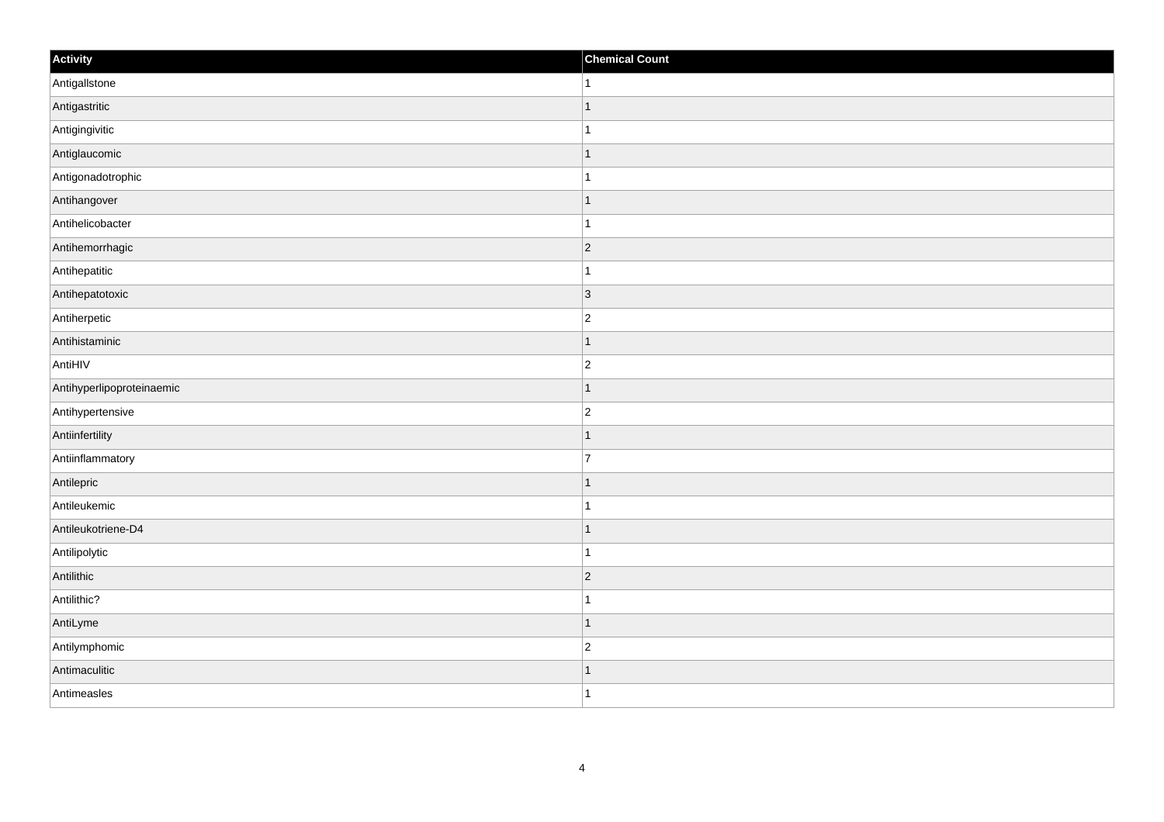| Activity                  | <b>Chemical Count</b> |
|---------------------------|-----------------------|
| Antigallstone             | $\vert$ 1             |
| Antigastritic             | $\overline{1}$        |
| Antigingivitic            |                       |
| Antiglaucomic             | $\overline{1}$        |
| Antigonadotrophic         | $\overline{1}$        |
| Antihangover              | -1                    |
| Antihelicobacter          | $\mathbf 1$           |
| Antihemorrhagic           | $\overline{2}$        |
| Antihepatitic             |                       |
| Antihepatotoxic           | 3                     |
| Antiherpetic              | $\overline{c}$        |
| Antihistaminic            | 1                     |
| AntiHIV                   | $\overline{2}$        |
| Antihyperlipoproteinaemic | $\mathbf 1$           |
| Antihypertensive          | $\overline{c}$        |
| Antiinfertility           | $\vert$ 1             |
| Antiinflammatory          | 7                     |
| Antilepric                | $\mathbf 1$           |
| Antileukemic              | 1                     |
| Antileukotriene-D4        | 1                     |
| Antilipolytic             | $\mathbf{1}$          |
| Antilithic                | $ 2\rangle$           |
| Antilithic?               | 1                     |
| AntiLyme                  | 1                     |
| Antilymphomic             | $ 2\rangle$           |
| Antimaculitic             | 1                     |
| Antimeasles               | $\overline{1}$        |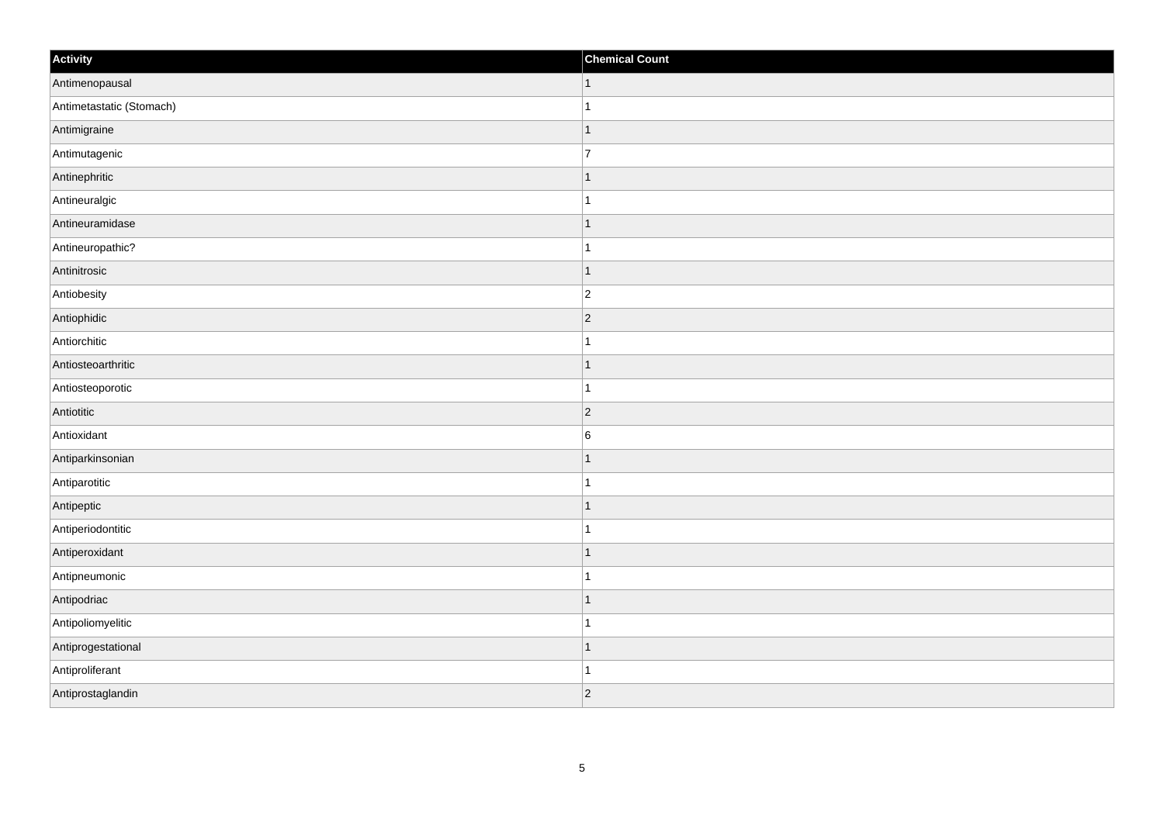| Activity                 | <b>Chemical Count</b> |
|--------------------------|-----------------------|
| Antimenopausal           | $\mathbf{1}$          |
| Antimetastatic (Stomach) | $\overline{1}$        |
| Antimigraine             | $\mathbf 1$           |
| Antimutagenic            | $\overline{7}$        |
| Antinephritic            | $\overline{1}$        |
| Antineuralgic            |                       |
| Antineuramidase          | $\mathbf{1}$          |
| Antineuropathic?         | $\mathbf{1}$          |
| Antinitrosic             | $\mathbf 1$           |
| Antiobesity              | $ 2\rangle$           |
| Antiophidic              | $\overline{2}$        |
| Antiorchitic             |                       |
| Antiosteoarthritic       | $\mathbf{1}$          |
| Antiosteoporotic         | $\mathbf{1}$          |
| Antiotitic               | $\vert$ 2             |
| Antioxidant              | $6\overline{6}$       |
| Antiparkinsonian         | $\overline{1}$        |
| Antiparotitic            | $\overline{1}$        |
| Antipeptic               | $\mathbf{1}$          |
| Antiperiodontitic        | 1                     |
| Antiperoxidant           | $\overline{1}$        |
| Antipneumonic            | $\overline{1}$        |
| Antipodriac              | $\mathbf{1}$          |
| Antipoliomyelitic        | $\overline{1}$        |
| Antiprogestational       | $\mathbf{1}$          |
| Antiproliferant          | 1                     |
| Antiprostaglandin        | $\overline{2}$        |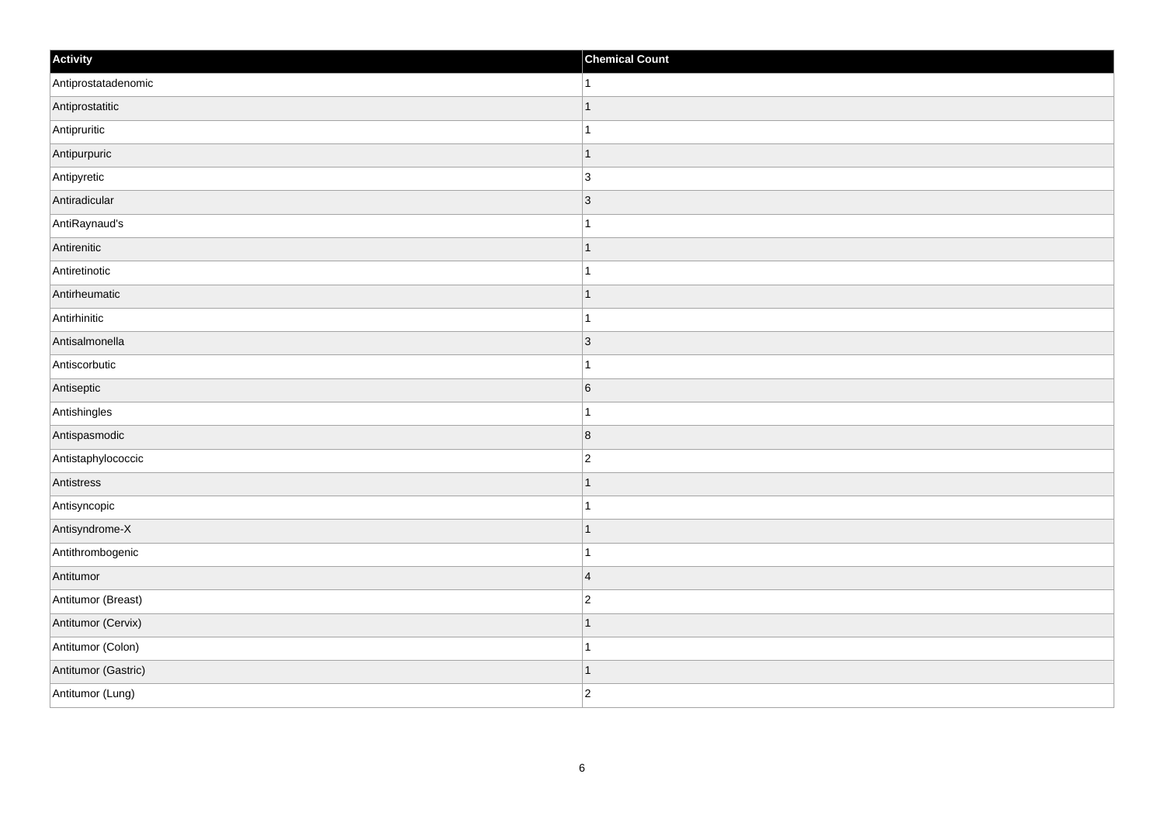| Activity            | <b>Chemical Count</b> |
|---------------------|-----------------------|
| Antiprostatadenomic | $\vert$ 1             |
| Antiprostatitic     | $\overline{1}$        |
| Antipruritic        |                       |
| Antipurpuric        | $\overline{1}$        |
| Antipyretic         | $\overline{3}$        |
| Antiradicular       | 3                     |
| AntiRaynaud's       | 1                     |
| Antirenitic         | $\mathbf 1$           |
| Antiretinotic       |                       |
| Antirheumatic       | $\vert$ 1             |
| Antirhinitic        | $\mathbf{1}$          |
| Antisalmonella      | 3                     |
| Antiscorbutic       | $\mathbf{1}$          |
| Antiseptic          | 6                     |
| Antishingles        | 1                     |
| Antispasmodic       | 8                     |
| Antistaphylococcic  | $\overline{c}$        |
| Antistress          | $\mathbf 1$           |
| Antisyncopic        | $\mathbf{1}$          |
| Antisyndrome-X      | 1                     |
| Antithrombogenic    | $\mathbf{1}$          |
| Antitumor           | $\overline{4}$        |
| Antitumor (Breast)  | $\overline{c}$        |
| Antitumor (Cervix)  | $\mathbf 1$           |
| Antitumor (Colon)   | $\mathbf{1}$          |
| Antitumor (Gastric) | $\vert$ 1             |
| Antitumor (Lung)    | $\overline{c}$        |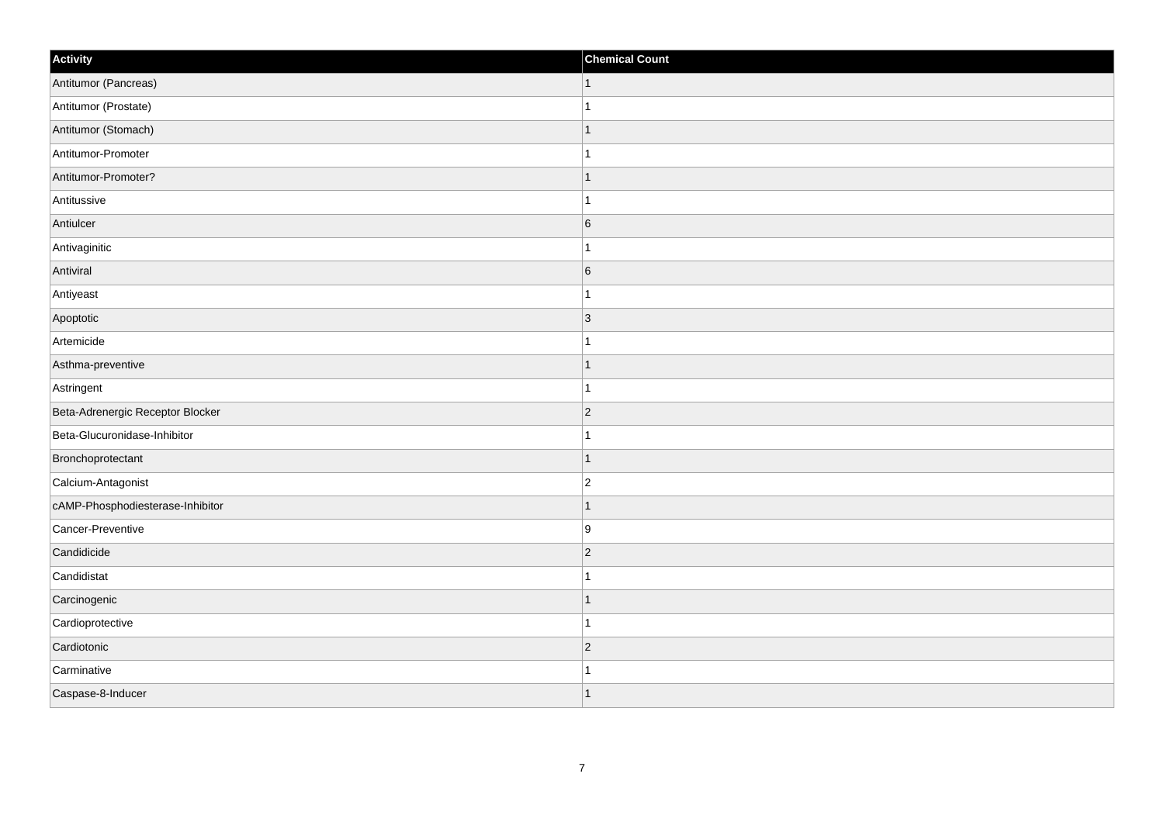| Activity                         | <b>Chemical Count</b> |
|----------------------------------|-----------------------|
| Antitumor (Pancreas)             | $\mathbf{1}$          |
| Antitumor (Prostate)             |                       |
| Antitumor (Stomach)              |                       |
| Antitumor-Promoter               |                       |
| Antitumor-Promoter?              |                       |
| Antitussive                      |                       |
| Antiulcer                        | $6\overline{6}$       |
| Antivaginitic                    |                       |
| Antiviral                        | $6\overline{6}$       |
| Antiyeast                        |                       |
| Apoptotic                        | 3                     |
| Artemicide                       |                       |
| Asthma-preventive                | $\mathbf{1}$          |
| Astringent                       | $\overline{1}$        |
| Beta-Adrenergic Receptor Blocker | $ 2\rangle$           |
| Beta-Glucuronidase-Inhibitor     | 1                     |
| Bronchoprotectant                | $\overline{1}$        |
| Calcium-Antagonist               | $\vert$ 2             |
| cAMP-Phosphodiesterase-Inhibitor | $\mathbf{1}$          |
| Cancer-Preventive                | 9                     |
| Candidicide                      | $\vert$ 2             |
| Candidistat                      |                       |
| Carcinogenic                     | $\overline{1}$        |
| Cardioprotective                 | $\overline{1}$        |
| Cardiotonic                      | $\overline{2}$        |
| Carminative                      |                       |
| Caspase-8-Inducer                | $\overline{1}$        |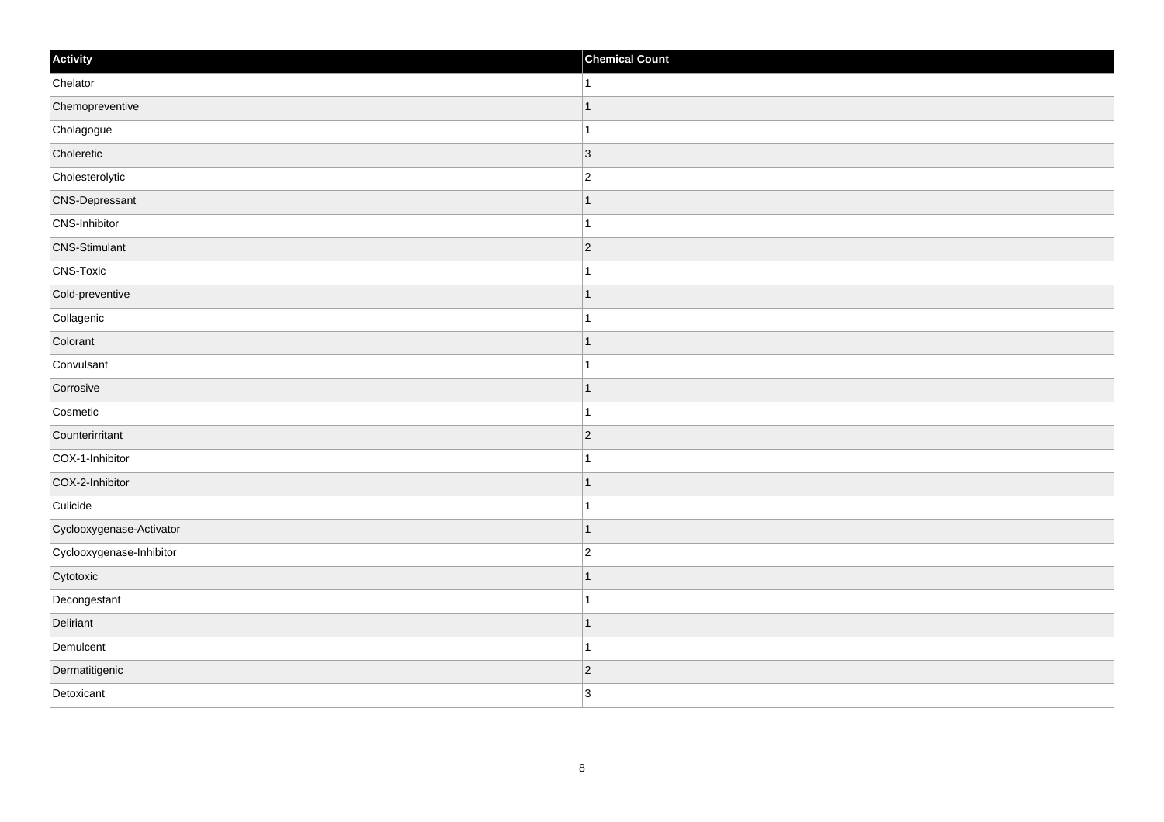| Activity                 | <b>Chemical Count</b> |
|--------------------------|-----------------------|
| Chelator                 | $\overline{1}$        |
| Chemopreventive          | $\mathbf 1$           |
| Cholagogue               |                       |
| Choleretic               | $ 3\rangle$           |
| Cholesterolytic          | $\overline{2}$        |
| <b>CNS-Depressant</b>    |                       |
| CNS-Inhibitor            | $\mathbf{1}$          |
| <b>CNS-Stimulant</b>     | $ 2\rangle$           |
| CNS-Toxic                |                       |
| Cold-preventive          | $\mathbf{1}$          |
| Collagenic               | $\mathbf 1$           |
| Colorant                 | $\mathbf 1$           |
| Convulsant               | $\mathbf{1}$          |
| Corrosive                | $\mathbf 1$           |
| Cosmetic                 | $\mathbf{1}$          |
| Counterirritant          | $ 2\rangle$           |
| COX-1-Inhibitor          | 1                     |
| COX-2-Inhibitor          | $\mathbf 1$           |
| Culicide                 | $\mathbf 1$           |
| Cyclooxygenase-Activator | $\vert$ 1             |
| Cyclooxygenase-Inhibitor | $\overline{c}$        |
| Cytotoxic                |                       |
| Decongestant             | $\mathbf{1}$          |
| Deliriant                | $\mathbf 1$           |
| Demulcent                | $\mathbf{1}$          |
| Dermatitigenic           | $ 2\rangle$           |
| Detoxicant               | 3                     |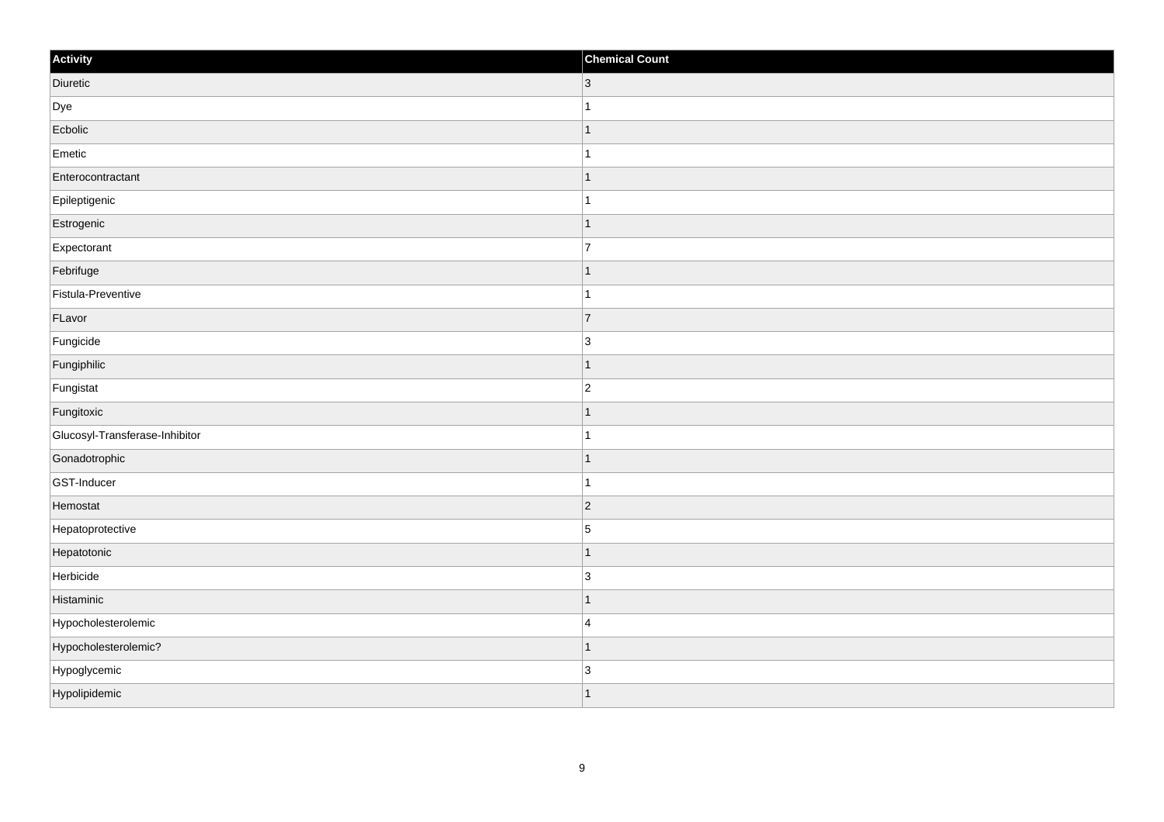| Activity                       | <b>Chemical Count</b> |
|--------------------------------|-----------------------|
| Diuretic                       | $ 3\rangle$           |
| Dye                            | $\overline{1}$        |
| Ecbolic                        | $\overline{1}$        |
| Emetic                         | $\mathbf{1}$          |
| Enterocontractant              | $\overline{1}$        |
| Epileptigenic                  | $\overline{1}$        |
| Estrogenic                     | $\mathbf{1}$          |
| Expectorant                    | $\overline{7}$        |
| Febrifuge                      | $\overline{1}$        |
| Fistula-Preventive             | $\mathbf{1}$          |
| FLavor                         | $\overline{7}$        |
| Fungicide                      | $\vert$ 3             |
| Fungiphilic                    | $\mathbf{1}$          |
| Fungistat                      | $ 2\rangle$           |
| Fungitoxic                     | $\overline{1}$        |
| Glucosyl-Transferase-Inhibitor | $\mathbf{1}$          |
| Gonadotrophic                  | $\overline{1}$        |
| GST-Inducer                    | $\overline{1}$        |
| Hemostat                       | 2                     |
| Hepatoprotective               | $\sqrt{5}$            |
| Hepatotonic                    | $\overline{1}$        |
| Herbicide                      | $\vert$ 3             |
| Histaminic                     | $\mathbf{1}$          |
| Hypocholesterolemic            | $\overline{4}$        |
| Hypocholesterolemic?           | $\overline{1}$        |
| Hypoglycemic                   | $\sqrt{3}$            |
| Hypolipidemic                  | $\mathbf{1}$          |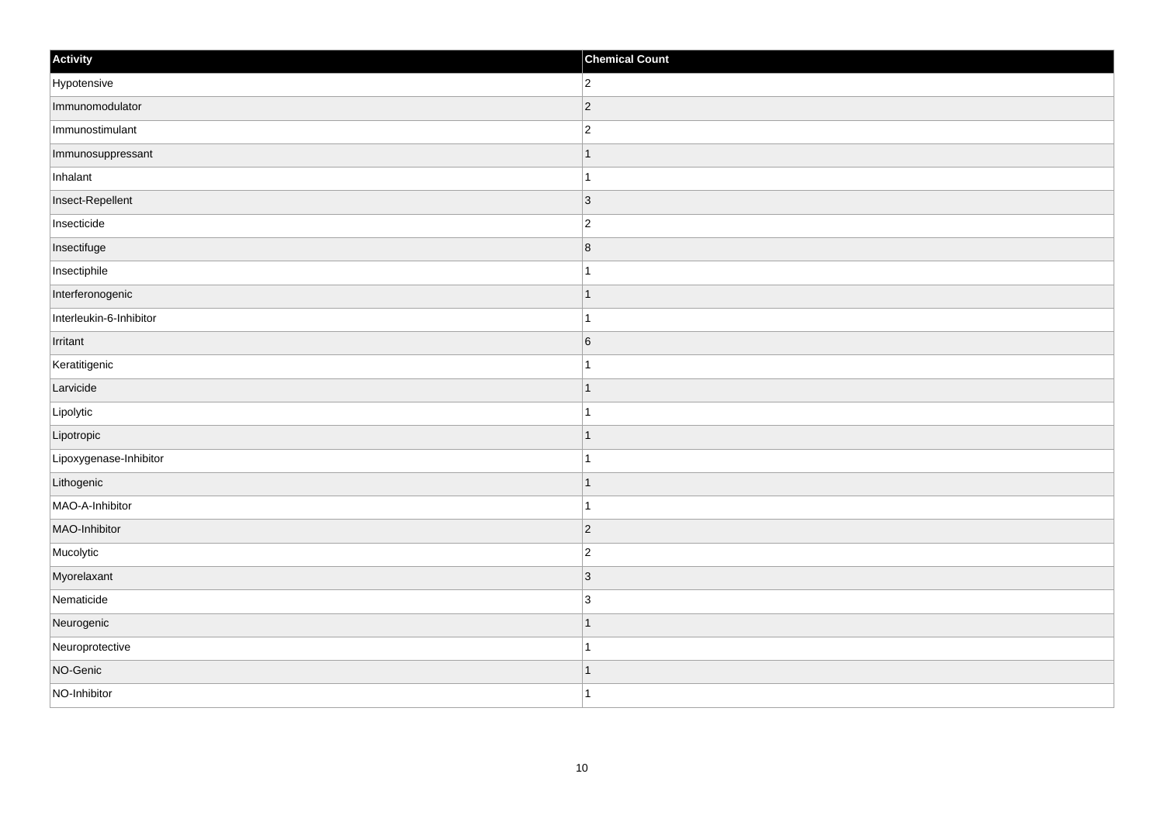| Activity                | <b>Chemical Count</b>   |
|-------------------------|-------------------------|
| Hypotensive             | $ 2\rangle$             |
| Immunomodulator         | $ 2\rangle$             |
| Immunostimulant         | $\vert$ 2               |
| Immunosuppressant       | $\vert$ 1               |
| Inhalant                | $\vert$ 1               |
| Insect-Repellent        | $ 3\rangle$             |
| Insecticide             | $ 2\rangle$             |
| Insectifuge             | $\overline{\mathbf{8}}$ |
| Insectiphile            | $\mathbf{1}$            |
| Interferonogenic        | $\vert$ 1               |
| Interleukin-6-Inhibitor | $\vert$ 1               |
| Irritant                | $6\overline{6}$         |
| Keratitigenic           | $\mathbf{1}$            |
| Larvicide               | $\vert$ 1               |
| Lipolytic               | $\mathbf{1}$            |
| Lipotropic              | $\vert$ 1               |
| Lipoxygenase-Inhibitor  | $\vert$ 1               |
| Lithogenic              | $\vert$ 1               |
| MAO-A-Inhibitor         | $\vert$ 1               |
| MAO-Inhibitor           | $ 2\rangle$             |
| Mucolytic               | $ 2\rangle$             |
| Myorelaxant             | $ 3\rangle$             |
| Nematicide              | $\vert$ 3               |
| Neurogenic              | $\vert$ 1               |
| Neuroprotective         | $\vert$ 1               |
| NO-Genic                | $\vert$ 1               |
| NO-Inhibitor            | $\vert$ 1               |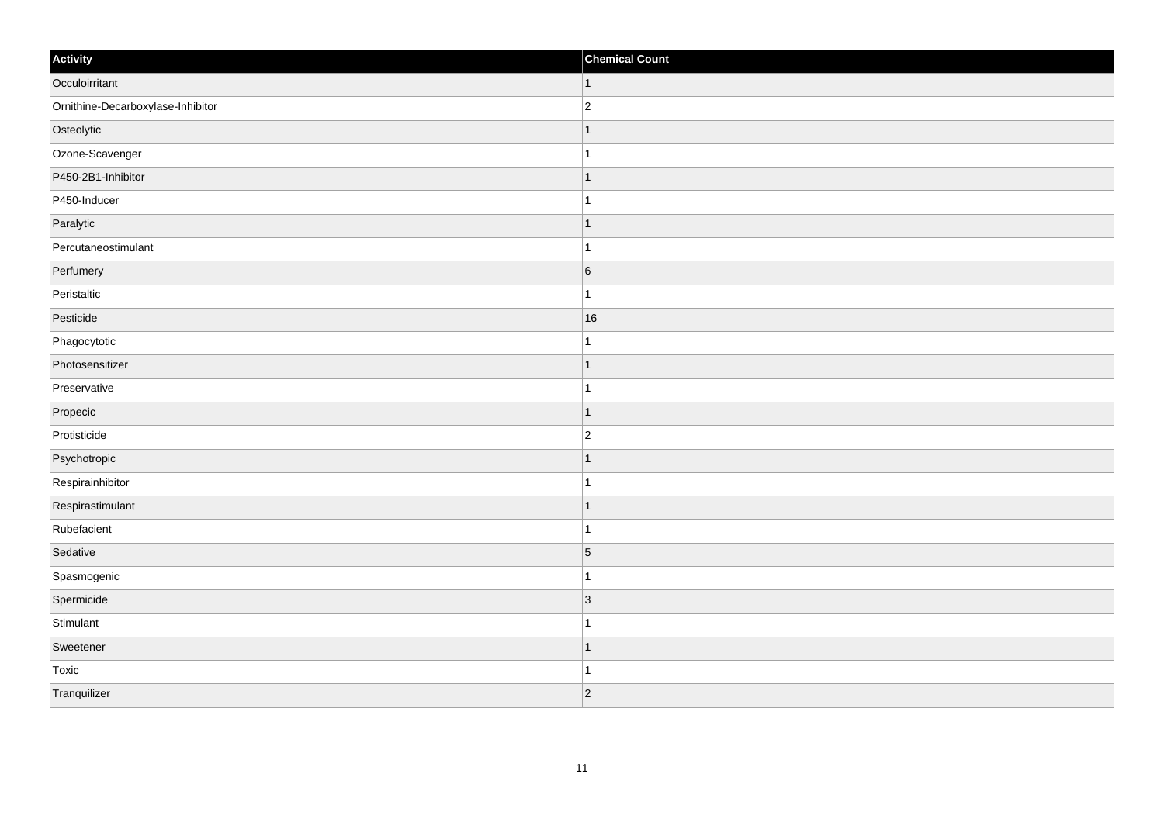| Activity                          | <b>Chemical Count</b> |
|-----------------------------------|-----------------------|
| Occuloirritant                    | $\vert$ 1             |
| Ornithine-Decarboxylase-Inhibitor | $\overline{c}$        |
| Osteolytic                        | -1                    |
| Ozone-Scavenger                   | $\mathbf{1}$          |
| P450-2B1-Inhibitor                | $\mathbf 1$           |
| P450-Inducer                      | 1                     |
| Paralytic                         | $\vert$ 1             |
| Percutaneostimulant               | $\mathbf{1}$          |
| Perfumery                         | 6                     |
| Peristaltic                       | $\mathbf{1}$          |
| Pesticide                         | 16                    |
| Phagocytotic                      |                       |
| Photosensitizer                   | $\vert$ 1             |
| Preservative                      | $\overline{1}$        |
| Propecic                          | $\overline{1}$        |
| Protisticide                      | $\overline{2}$        |
| Psychotropic                      |                       |
| Respirainhibitor                  |                       |
| Respirastimulant                  | $\mathbf{1}$          |
| Rubefacient                       | $\mathbf{1}$          |
| Sedative                          | $\vert 5 \vert$       |
| Spasmogenic                       | $\mathbf{1}$          |
| Spermicide                        | $ 3\rangle$           |
| Stimulant                         | $\mathbf 1$           |
| Sweetener                         | $\mathbf 1$           |
| Toxic                             | $\mathbf 1$           |
| Tranquilizer                      | $ 2\rangle$           |